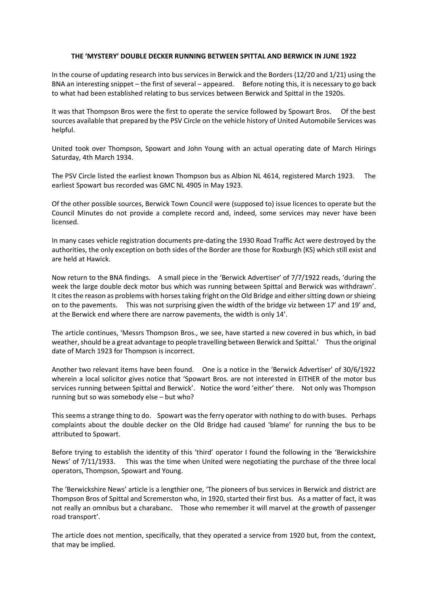## **THE 'MYSTERY' DOUBLE DECKER RUNNING BETWEEN SPITTAL AND BERWICK IN JUNE 1922**

In the course of updating research into bus services in Berwick and the Borders (12/20 and 1/21) using the BNA an interesting snippet – the first of several – appeared. Before noting this, it is necessary to go back to what had been established relating to bus services between Berwick and Spittal in the 1920s.

It was that Thompson Bros were the first to operate the service followed by Spowart Bros. Of the best sources available that prepared by the PSV Circle on the vehicle history of United Automobile Services was helpful.

United took over Thompson, Spowart and John Young with an actual operating date of March Hirings Saturday, 4th March 1934.

The PSV Circle listed the earliest known Thompson bus as Albion NL 4614, registered March 1923. The earliest Spowart bus recorded was GMC NL 4905 in May 1923.

Of the other possible sources, Berwick Town Council were (supposed to) issue licences to operate but the Council Minutes do not provide a complete record and, indeed, some services may never have been licensed.

In many cases vehicle registration documents pre-dating the 1930 Road Traffic Act were destroyed by the authorities, the only exception on both sides of the Border are those for Roxburgh (KS) which still exist and are held at Hawick.

Now return to the BNA findings. A small piece in the 'Berwick Advertiser' of 7/7/1922 reads, 'during the week the large double deck motor bus which was running between Spittal and Berwick was withdrawn'. It cites the reason as problems with horses taking fright on the Old Bridge and either sitting down or shieing on to the pavements. This was not surprising given the width of the bridge viz between 17' and 19' and, at the Berwick end where there are narrow pavements, the width is only 14'.

The article continues, 'Messrs Thompson Bros., we see, have started a new covered in bus which, in bad weather, should be a great advantage to people travelling between Berwick and Spittal.' Thus the original date of March 1923 for Thompson is incorrect.

Another two relevant items have been found. One is a notice in the 'Berwick Advertiser' of 30/6/1922 wherein a local solicitor gives notice that 'Spowart Bros. are not interested in EITHER of the motor bus services running between Spittal and Berwick'. Notice the word 'either' there. Not only was Thompson running but so was somebody else – but who?

This seems a strange thing to do. Spowart was the ferry operator with nothing to do with buses. Perhaps complaints about the double decker on the Old Bridge had caused 'blame' for running the bus to be attributed to Spowart.

Before trying to establish the identity of this 'third' operator I found the following in the 'Berwickshire News' of 7/11/1933. This was the time when United were negotiating the purchase of the three local operators, Thompson, Spowart and Young.

The 'Berwickshire News' article is a lengthier one, 'The pioneers of bus services in Berwick and district are Thompson Bros of Spittal and Scremerston who, in 1920, started their first bus. As a matter of fact, it was not really an omnibus but a charabanc. Those who remember it will marvel at the growth of passenger road transport'.

The article does not mention, specifically, that they operated a service from 1920 but, from the context, that may be implied.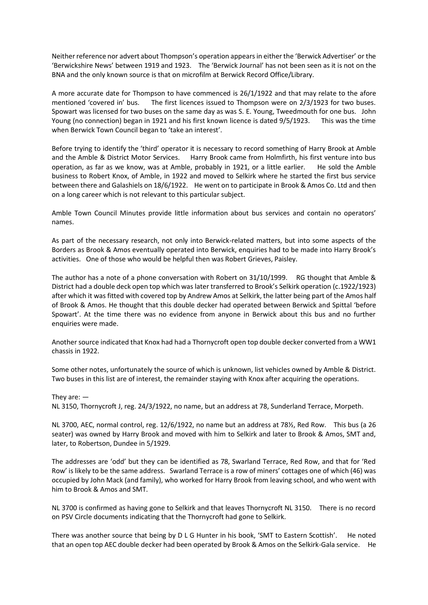Neither reference nor advert about Thompson's operation appears in either the 'Berwick Advertiser' or the 'Berwickshire News' between 1919 and 1923. The 'Berwick Journal' has not been seen as it is not on the BNA and the only known source is that on microfilm at Berwick Record Office/Library.

A more accurate date for Thompson to have commenced is 26/1/1922 and that may relate to the afore mentioned 'covered in' bus. The first licences issued to Thompson were on 2/3/1923 for two buses. Spowart was licensed for two buses on the same day as was S. E. Young, Tweedmouth for one bus. John Young (no connection) began in 1921 and his first known licence is dated 9/5/1923. This was the time when Berwick Town Council began to 'take an interest'.

Before trying to identify the 'third' operator it is necessary to record something of Harry Brook at Amble and the Amble & District Motor Services. Harry Brook came from Holmfirth, his first venture into bus operation, as far as we know, was at Amble, probably in 1921, or a little earlier. He sold the Amble business to Robert Knox, of Amble, in 1922 and moved to Selkirk where he started the first bus service between there and Galashiels on 18/6/1922. He went on to participate in Brook & Amos Co. Ltd and then on a long career which is not relevant to this particular subject.

Amble Town Council Minutes provide little information about bus services and contain no operators' names.

As part of the necessary research, not only into Berwick-related matters, but into some aspects of the Borders as Brook & Amos eventually operated into Berwick, enquiries had to be made into Harry Brook's activities. One of those who would be helpful then was Robert Grieves, Paisley.

The author has a note of a phone conversation with Robert on 31/10/1999. RG thought that Amble & District had a double deck open top which was later transferred to Brook's Selkirk operation (c.1922/1923) after which it was fitted with covered top by Andrew Amos at Selkirk, the latter being part of the Amos half of Brook & Amos. He thought that this double decker had operated between Berwick and Spittal 'before Spowart'. At the time there was no evidence from anyone in Berwick about this bus and no further enquiries were made.

Another source indicated that Knox had had a Thornycroft open top double decker converted from a WW1 chassis in 1922.

Some other notes, unfortunately the source of which is unknown, list vehicles owned by Amble & District. Two buses in this list are of interest, the remainder staying with Knox after acquiring the operations.

They are: — NL 3150, Thornycroft J, reg. 24/3/1922, no name, but an address at 78, Sunderland Terrace, Morpeth.

NL 3700, AEC, normal control, reg. 12/6/1922, no name but an address at 78½, Red Row. This bus (a 26 seater) was owned by Harry Brook and moved with him to Selkirk and later to Brook & Amos, SMT and, later, to Robertson, Dundee in 5/1929.

The addresses are 'odd' but they can be identified as 78, Swarland Terrace, Red Row, and that for 'Red Row' is likely to be the same address. Swarland Terrace is a row of miners' cottages one of which (46) was occupied by John Mack (and family), who worked for Harry Brook from leaving school, and who went with him to Brook & Amos and SMT.

NL 3700 is confirmed as having gone to Selkirk and that leaves Thornycroft NL 3150. There is no record on PSV Circle documents indicating that the Thornycroft had gone to Selkirk.

There was another source that being by D L G Hunter in his book, 'SMT to Eastern Scottish'. He noted that an open top AEC double decker had been operated by Brook & Amos on the Selkirk-Gala service. He